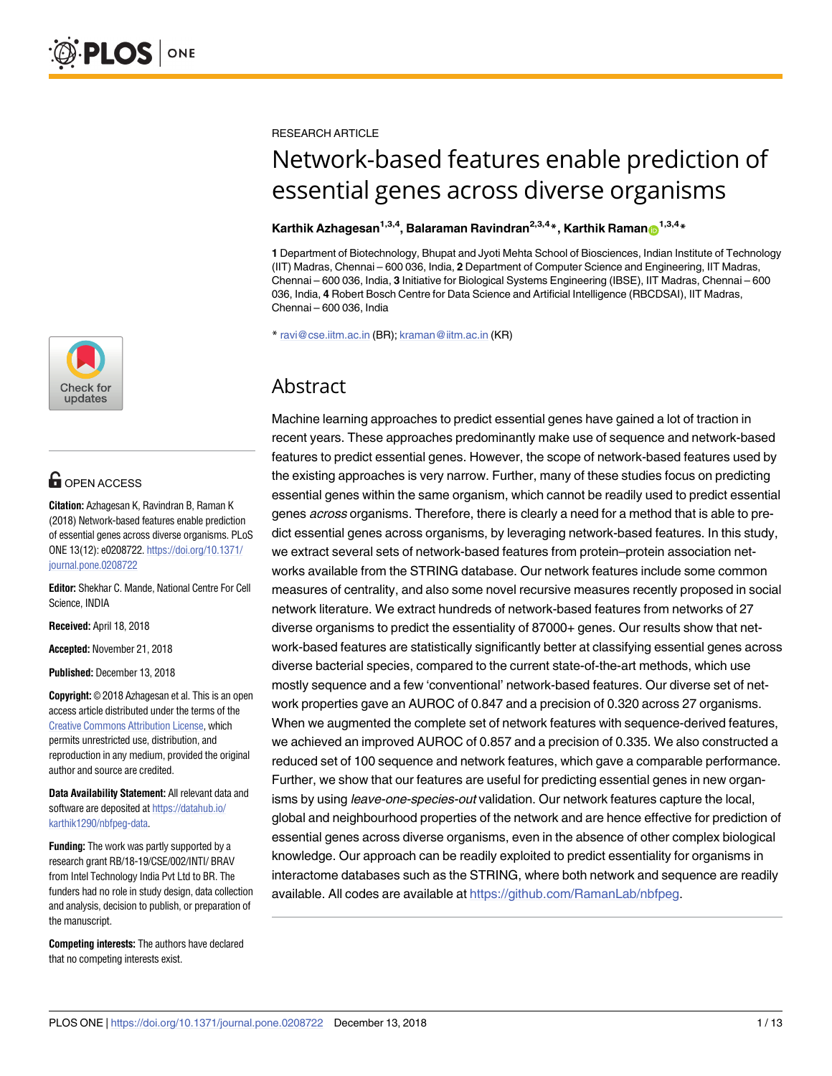

# **OPEN ACCESS**

**Citation:** Azhagesan K, Ravindran B, Raman K (2018) Network-based features enable prediction of essential genes across diverse organisms. PLoS ONE 13(12): e0208722. [https://doi.org/10.1371/](https://doi.org/10.1371/journal.pone.0208722) [journal.pone.0208722](https://doi.org/10.1371/journal.pone.0208722)

**Editor:** Shekhar C. Mande, National Centre For Cell Science, INDIA

**Received:** April 18, 2018

**Accepted:** November 21, 2018

**Published:** December 13, 2018

**Copyright:** © 2018 Azhagesan et al. This is an open access article distributed under the terms of the Creative Commons [Attribution](http://creativecommons.org/licenses/by/4.0/) License, which permits unrestricted use, distribution, and reproduction in any medium, provided the original author and source are credited.

**Data Availability Statement:** All relevant data and software are deposited at [https://datahub.io/](https://datahub.io/karthik1290/nbfpeg-data) [karthik1290/nbfpeg-data.](https://datahub.io/karthik1290/nbfpeg-data)

**Funding:** The work was partly supported by a research grant RB/18-19/CSE/002/INTI/ BRAV from Intel Technology India Pvt Ltd to BR. The funders had no role in study design, data collection and analysis, decision to publish, or preparation of the manuscript.

**Competing interests:** The authors have declared that no competing interests exist.

#### RESEARCH ARTICLE

# Network-based features enable prediction of essential genes across diverse organisms

# **Karthik Azhagesan**<sup>1,3,4</sup>, Balaraman Ravindran<sup>2,3,4</sup><sup>\*</sup>, Karthik Raman<sub>D</sub><sup>1,3,4</sup><sup>\*</sup>

**1** Department of Biotechnology, Bhupat and Jyoti Mehta School of Biosciences, Indian Institute of Technology (IIT) Madras, Chennai – 600 036, India, **2** Department of Computer Science and Engineering, IIT Madras, Chennai – 600 036, India, **3** Initiative for Biological Systems Engineering (IBSE), IIT Madras, Chennai – 600 036, India, **4** Robert Bosch Centre for Data Science and Artificial Intelligence (RBCDSAI), IIT Madras, Chennai – 600 036, India

\* ravi@cse.iitm.ac.in (BR); kraman@iitm.ac.in (KR)

# Abstract

Machine learning approaches to predict essential genes have gained a lot of traction in recent years. These approaches predominantly make use of sequence and network-based features to predict essential genes. However, the scope of network-based features used by the existing approaches is very narrow. Further, many of these studies focus on predicting essential genes within the same organism, which cannot be readily used to predict essential genes *across* organisms. Therefore, there is clearly a need for a method that is able to predict essential genes across organisms, by leveraging network-based features. In this study, we extract several sets of network-based features from protein–protein association networks available from the STRING database. Our network features include some common measures of centrality, and also some novel recursive measures recently proposed in social network literature. We extract hundreds of network-based features from networks of 27 diverse organisms to predict the essentiality of 87000+ genes. Our results show that network-based features are statistically significantly better at classifying essential genes across diverse bacterial species, compared to the current state-of-the-art methods, which use mostly sequence and a few 'conventional' network-based features. Our diverse set of network properties gave an AUROC of 0.847 and a precision of 0.320 across 27 organisms. When we augmented the complete set of network features with sequence-derived features, we achieved an improved AUROC of 0.857 and a precision of 0.335. We also constructed a reduced set of 100 sequence and network features, which gave a comparable performance. Further, we show that our features are useful for predicting essential genes in new organisms by using *leave-one-species-out* validation. Our network features capture the local, global and neighbourhood properties of the network and are hence effective for prediction of essential genes across diverse organisms, even in the absence of other complex biological knowledge. Our approach can be readily exploited to predict essentiality for organisms in interactome databases such as the STRING, where both network and sequence are readily available. All codes are available at <https://github.com/RamanLab/nbfpeg>.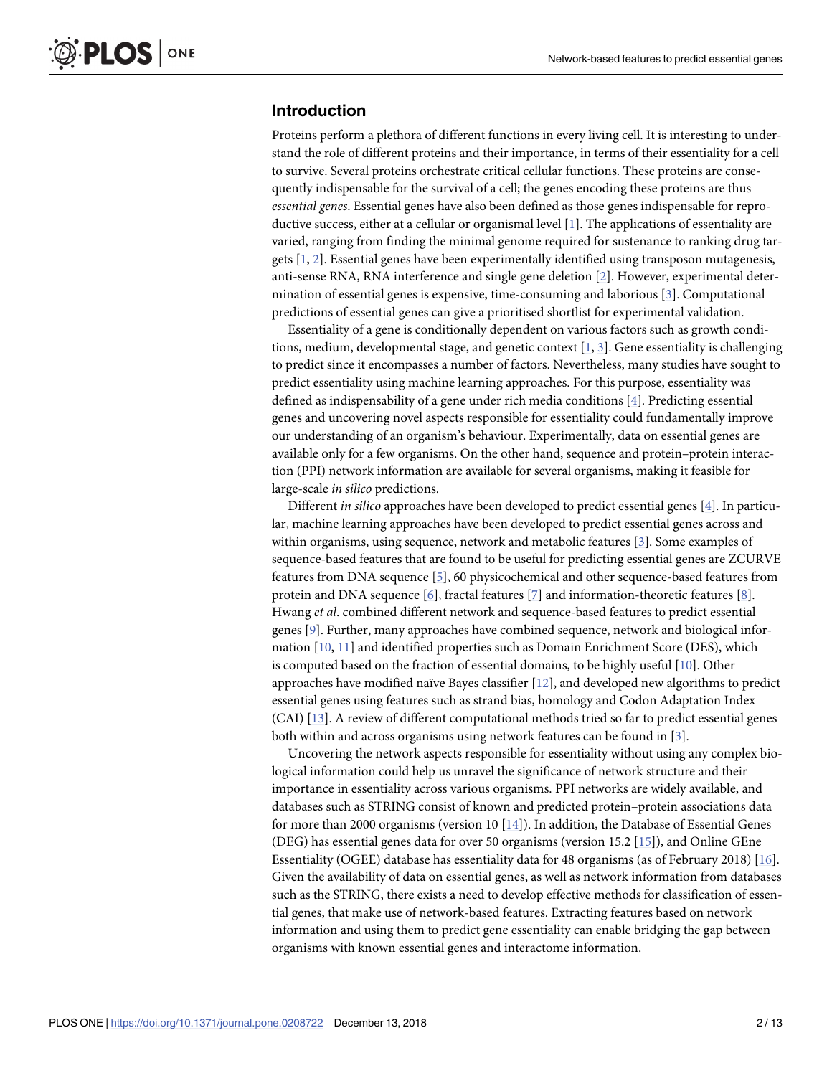# <span id="page-1-0"></span>**Introduction**

Proteins perform a plethora of different functions in every living cell. It is interesting to understand the role of different proteins and their importance, in terms of their essentiality for a cell to survive. Several proteins orchestrate critical cellular functions. These proteins are consequently indispensable for the survival of a cell; the genes encoding these proteins are thus *essential genes*. Essential genes have also been defined as those genes indispensable for reproductive success, either at a cellular or organismal level [[1](#page-11-0)]. The applications of essentiality are varied, ranging from finding the minimal genome required for sustenance to ranking drug targets [\[1,](#page-11-0) [2](#page-11-0)]. Essential genes have been experimentally identified using transposon mutagenesis, anti-sense RNA, RNA interference and single gene deletion [[2](#page-11-0)]. However, experimental determination of essential genes is expensive, time-consuming and laborious [[3\]](#page-11-0). Computational predictions of essential genes can give a prioritised shortlist for experimental validation.

Essentiality of a gene is conditionally dependent on various factors such as growth conditions, medium, developmental stage, and genetic context [[1](#page-11-0), [3\]](#page-11-0). Gene essentiality is challenging to predict since it encompasses a number of factors. Nevertheless, many studies have sought to predict essentiality using machine learning approaches. For this purpose, essentiality was defined as indispensability of a gene under rich media conditions [\[4](#page-11-0)]. Predicting essential genes and uncovering novel aspects responsible for essentiality could fundamentally improve our understanding of an organism's behaviour. Experimentally, data on essential genes are available only for a few organisms. On the other hand, sequence and protein–protein interaction (PPI) network information are available for several organisms, making it feasible for large-scale *in silico* predictions.

Different *in silico* approaches have been developed to predict essential genes [[4\]](#page-11-0). In particular, machine learning approaches have been developed to predict essential genes across and within organisms, using sequence, network and metabolic features [[3\]](#page-11-0). Some examples of sequence-based features that are found to be useful for predicting essential genes are ZCURVE features from DNA sequence [\[5](#page-11-0)], 60 physicochemical and other sequence-based features from protein and DNA sequence [[6](#page-11-0)], fractal features [\[7\]](#page-11-0) and information-theoretic features [\[8](#page-11-0)]. Hwang *et al*. combined different network and sequence-based features to predict essential genes [[9\]](#page-11-0). Further, many approaches have combined sequence, network and biological information [\[10,](#page-11-0) [11\]](#page-11-0) and identified properties such as Domain Enrichment Score (DES), which is computed based on the fraction of essential domains, to be highly useful [\[10\]](#page-11-0). Other approaches have modified naïve Bayes classifier [[12](#page-11-0)], and developed new algorithms to predict essential genes using features such as strand bias, homology and Codon Adaptation Index (CAI) [\[13\]](#page-11-0). A review of different computational methods tried so far to predict essential genes both within and across organisms using network features can be found in [[3\]](#page-11-0).

Uncovering the network aspects responsible for essentiality without using any complex biological information could help us unravel the significance of network structure and their importance in essentiality across various organisms. PPI networks are widely available, and databases such as STRING consist of known and predicted protein–protein associations data for more than 2000 organisms (version 10 [\[14\]](#page-11-0)). In addition, the Database of Essential Genes (DEG) has essential genes data for over 50 organisms (version 15.2 [\[15\]](#page-11-0)), and Online GEne Essentiality (OGEE) database has essentiality data for 48 organisms (as of February 2018) [[16](#page-11-0)]. Given the availability of data on essential genes, as well as network information from databases such as the STRING, there exists a need to develop effective methods for classification of essential genes, that make use of network-based features. Extracting features based on network information and using them to predict gene essentiality can enable bridging the gap between organisms with known essential genes and interactome information.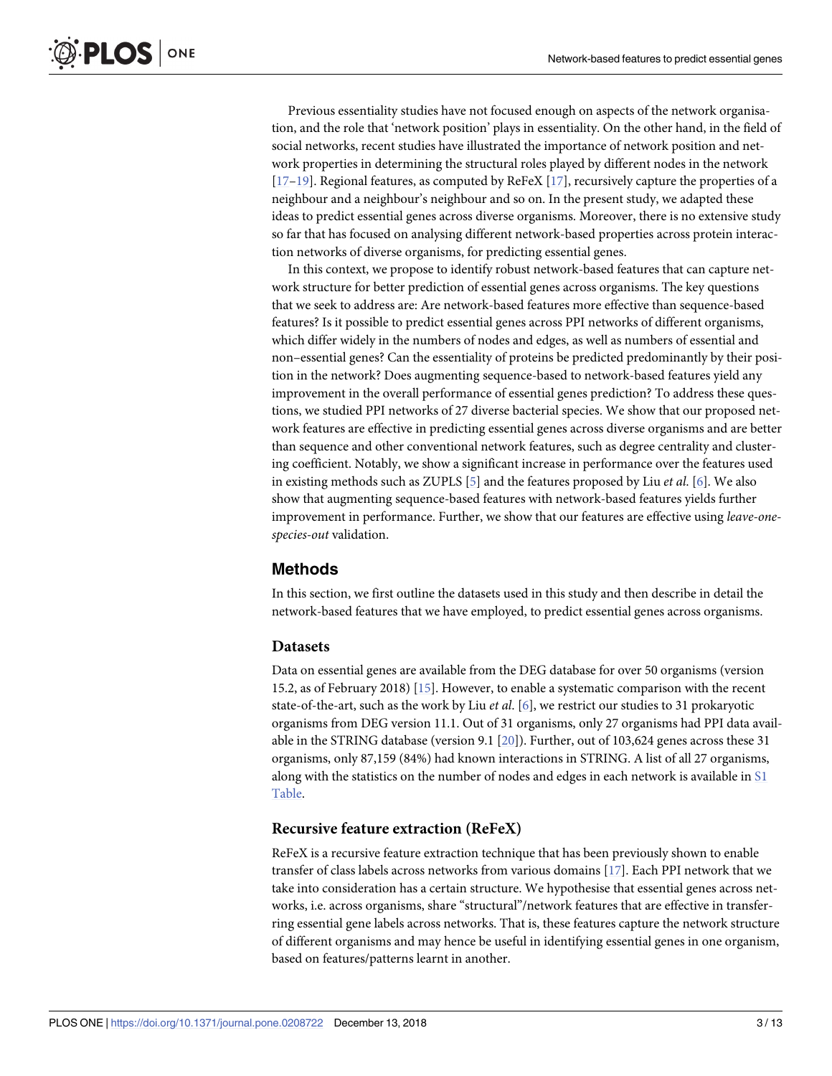<span id="page-2-0"></span>Previous essentiality studies have not focused enough on aspects of the network organisation, and the role that 'network position' plays in essentiality. On the other hand, in the field of social networks, recent studies have illustrated the importance of network position and network properties in determining the structural roles played by different nodes in the network [\[17](#page-11-0)[–19\]](#page-12-0). Regional features, as computed by ReFeX [\[17\]](#page-11-0), recursively capture the properties of a neighbour and a neighbour's neighbour and so on. In the present study, we adapted these ideas to predict essential genes across diverse organisms. Moreover, there is no extensive study so far that has focused on analysing different network-based properties across protein interaction networks of diverse organisms, for predicting essential genes.

In this context, we propose to identify robust network-based features that can capture network structure for better prediction of essential genes across organisms. The key questions that we seek to address are: Are network-based features more effective than sequence-based features? Is it possible to predict essential genes across PPI networks of different organisms, which differ widely in the numbers of nodes and edges, as well as numbers of essential and non–essential genes? Can the essentiality of proteins be predicted predominantly by their position in the network? Does augmenting sequence-based to network-based features yield any improvement in the overall performance of essential genes prediction? To address these questions, we studied PPI networks of 27 diverse bacterial species. We show that our proposed network features are effective in predicting essential genes across diverse organisms and are better than sequence and other conventional network features, such as degree centrality and clustering coefficient. Notably, we show a significant increase in performance over the features used in existing methods such as ZUPLS [[5\]](#page-11-0) and the features proposed by Liu *et al*. [[6\]](#page-11-0). We also show that augmenting sequence-based features with network-based features yields further improvement in performance. Further, we show that our features are effective using *leave-onespecies-out* validation.

# **Methods**

In this section, we first outline the datasets used in this study and then describe in detail the network-based features that we have employed, to predict essential genes across organisms.

#### **Datasets**

Data on essential genes are available from the DEG database for over 50 organisms (version 15.2, as of February 2018) [[15](#page-11-0)]. However, to enable a systematic comparison with the recent state-of-the-art, such as the work by Liu *et al*. [[6](#page-11-0)], we restrict our studies to 31 prokaryotic organisms from DEG version 11.1. Out of 31 organisms, only 27 organisms had PPI data available in the STRING database (version 9.1 [\[20\]](#page-12-0)). Further, out of 103,624 genes across these 31 organisms, only 87,159 (84%) had known interactions in STRING. A list of all 27 organisms, along with the statistics on the number of nodes and edges in each network is available in [S1](#page-10-0) [Table](#page-10-0).

#### **Recursive feature extraction (ReFeX)**

ReFeX is a recursive feature extraction technique that has been previously shown to enable transfer of class labels across networks from various domains [[17](#page-11-0)]. Each PPI network that we take into consideration has a certain structure. We hypothesise that essential genes across networks, i.e. across organisms, share "structural"/network features that are effective in transferring essential gene labels across networks. That is, these features capture the network structure of different organisms and may hence be useful in identifying essential genes in one organism, based on features/patterns learnt in another.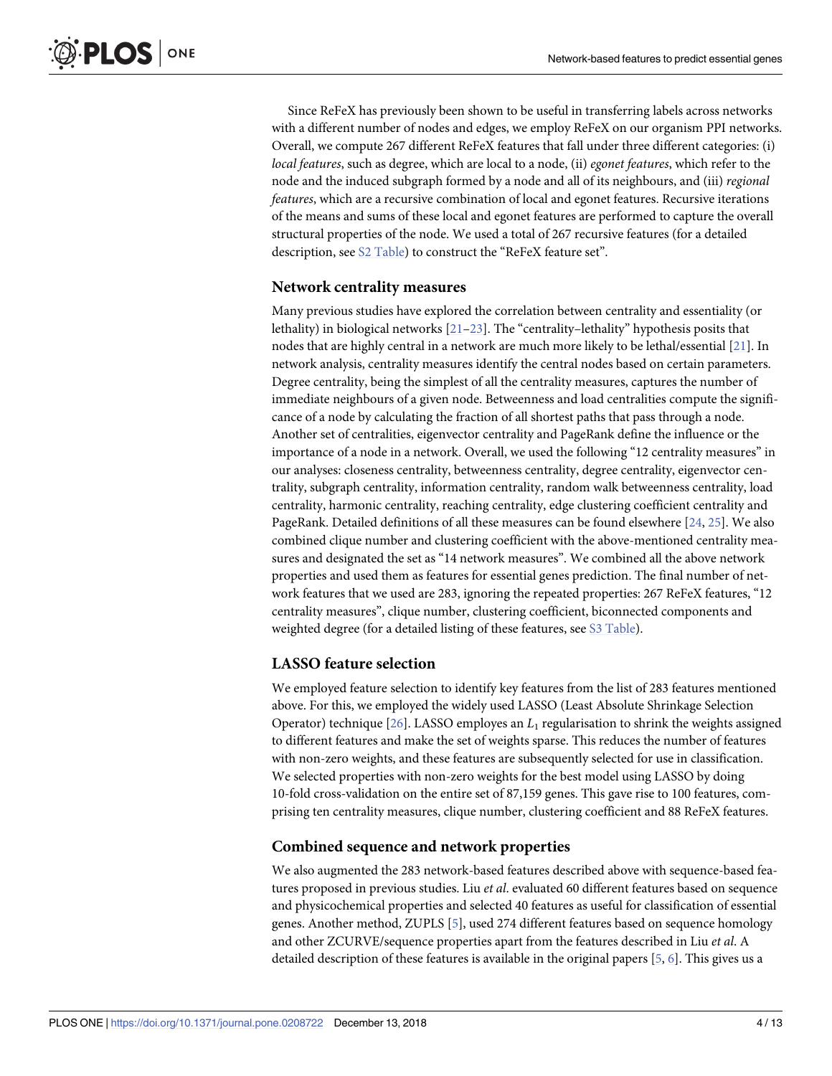<span id="page-3-0"></span>Since ReFeX has previously been shown to be useful in transferring labels across networks with a different number of nodes and edges, we employ ReFeX on our organism PPI networks. Overall, we compute 267 different ReFeX features that fall under three different categories: (i) *local features*, such as degree, which are local to a node, (ii) *egonet features*, which refer to the node and the induced subgraph formed by a node and all of its neighbours, and (iii) *regional features*, which are a recursive combination of local and egonet features. Recursive iterations of the means and sums of these local and egonet features are performed to capture the overall structural properties of the node. We used a total of 267 recursive features (for a detailed description, see S2 [Table\)](#page-10-0) to construct the "ReFeX feature set".

#### **Network centrality measures**

Many previous studies have explored the correlation between centrality and essentiality (or lethality) in biological networks [\[21–23\]](#page-12-0). The "centrality–lethality" hypothesis posits that nodes that are highly central in a network are much more likely to be lethal/essential [[21](#page-12-0)]. In network analysis, centrality measures identify the central nodes based on certain parameters. Degree centrality, being the simplest of all the centrality measures, captures the number of immediate neighbours of a given node. Betweenness and load centralities compute the significance of a node by calculating the fraction of all shortest paths that pass through a node. Another set of centralities, eigenvector centrality and PageRank define the influence or the importance of a node in a network. Overall, we used the following "12 centrality measures" in our analyses: closeness centrality, betweenness centrality, degree centrality, eigenvector centrality, subgraph centrality, information centrality, random walk betweenness centrality, load centrality, harmonic centrality, reaching centrality, edge clustering coefficient centrality and PageRank. Detailed definitions of all these measures can be found elsewhere [\[24,](#page-12-0) [25\]](#page-12-0). We also combined clique number and clustering coefficient with the above-mentioned centrality measures and designated the set as "14 network measures". We combined all the above network properties and used them as features for essential genes prediction. The final number of network features that we used are 283, ignoring the repeated properties: 267 ReFeX features, "12 centrality measures", clique number, clustering coefficient, biconnected components and weighted degree (for a detailed listing of these features, see S3 [Table\)](#page-10-0).

# **LASSO feature selection**

We employed feature selection to identify key features from the list of 283 features mentioned above. For this, we employed the widely used LASSO (Least Absolute Shrinkage Selection Operator) technique [\[26\]](#page-12-0). LASSO employes an *L*<sup>1</sup> regularisation to shrink the weights assigned to different features and make the set of weights sparse. This reduces the number of features with non-zero weights, and these features are subsequently selected for use in classification. We selected properties with non-zero weights for the best model using LASSO by doing 10-fold cross-validation on the entire set of 87,159 genes. This gave rise to 100 features, comprising ten centrality measures, clique number, clustering coefficient and 88 ReFeX features.

#### **Combined sequence and network properties**

We also augmented the 283 network-based features described above with sequence-based features proposed in previous studies. Liu *et al*. evaluated 60 different features based on sequence and physicochemical properties and selected 40 features as useful for classification of essential genes. Another method, ZUPLS [[5](#page-11-0)], used 274 different features based on sequence homology and other ZCURVE/sequence properties apart from the features described in Liu *et al*. A detailed description of these features is available in the original papers [\[5](#page-11-0), [6](#page-11-0)]. This gives us a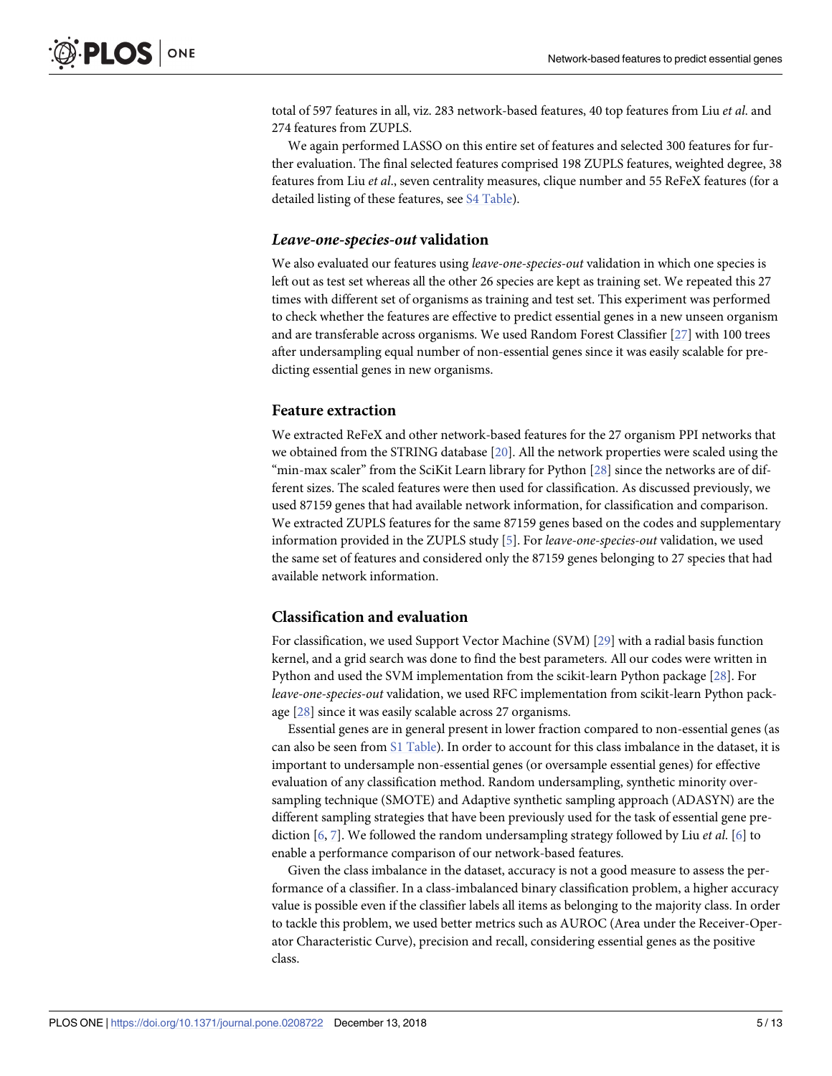<span id="page-4-0"></span>total of 597 features in all, viz. 283 network-based features, 40 top features from Liu *et al*. and 274 features from ZUPLS.

We again performed LASSO on this entire set of features and selected 300 features for further evaluation. The final selected features comprised 198 ZUPLS features, weighted degree, 38 features from Liu *et al*., seven centrality measures, clique number and 55 ReFeX features (for a detailed listing of these features, see S4 [Table](#page-10-0)).

#### *Leave-one-species-out* **validation**

We also evaluated our features using *leave-one-species-out* validation in which one species is left out as test set whereas all the other 26 species are kept as training set. We repeated this 27 times with different set of organisms as training and test set. This experiment was performed to check whether the features are effective to predict essential genes in a new unseen organism and are transferable across organisms. We used Random Forest Classifier [[27](#page-12-0)] with 100 trees after undersampling equal number of non-essential genes since it was easily scalable for predicting essential genes in new organisms.

# **Feature extraction**

We extracted ReFeX and other network-based features for the 27 organism PPI networks that we obtained from the STRING database [\[20\]](#page-12-0). All the network properties were scaled using the "min-max scaler" from the SciKit Learn library for Python [\[28\]](#page-12-0) since the networks are of different sizes. The scaled features were then used for classification. As discussed previously, we used 87159 genes that had available network information, for classification and comparison. We extracted ZUPLS features for the same 87159 genes based on the codes and supplementary information provided in the ZUPLS study [[5](#page-11-0)]. For *leave-one-species-out* validation, we used the same set of features and considered only the 87159 genes belonging to 27 species that had available network information.

#### **Classification and evaluation**

For classification, we used Support Vector Machine (SVM) [\[29\]](#page-12-0) with a radial basis function kernel, and a grid search was done to find the best parameters. All our codes were written in Python and used the SVM implementation from the scikit-learn Python package [\[28\]](#page-12-0). For *leave-one-species-out* validation, we used RFC implementation from scikit-learn Python package [[28](#page-12-0)] since it was easily scalable across 27 organisms.

Essential genes are in general present in lower fraction compared to non-essential genes (as can also be seen from S1 [Table](#page-10-0)). In order to account for this class imbalance in the dataset, it is important to undersample non-essential genes (or oversample essential genes) for effective evaluation of any classification method. Random undersampling, synthetic minority oversampling technique (SMOTE) and Adaptive synthetic sampling approach (ADASYN) are the different sampling strategies that have been previously used for the task of essential gene prediction [[6,](#page-11-0) [7\]](#page-11-0). We followed the random undersampling strategy followed by Liu *et al*. [[6](#page-11-0)] to enable a performance comparison of our network-based features.

Given the class imbalance in the dataset, accuracy is not a good measure to assess the performance of a classifier. In a class-imbalanced binary classification problem, a higher accuracy value is possible even if the classifier labels all items as belonging to the majority class. In order to tackle this problem, we used better metrics such as AUROC (Area under the Receiver-Operator Characteristic Curve), precision and recall, considering essential genes as the positive class.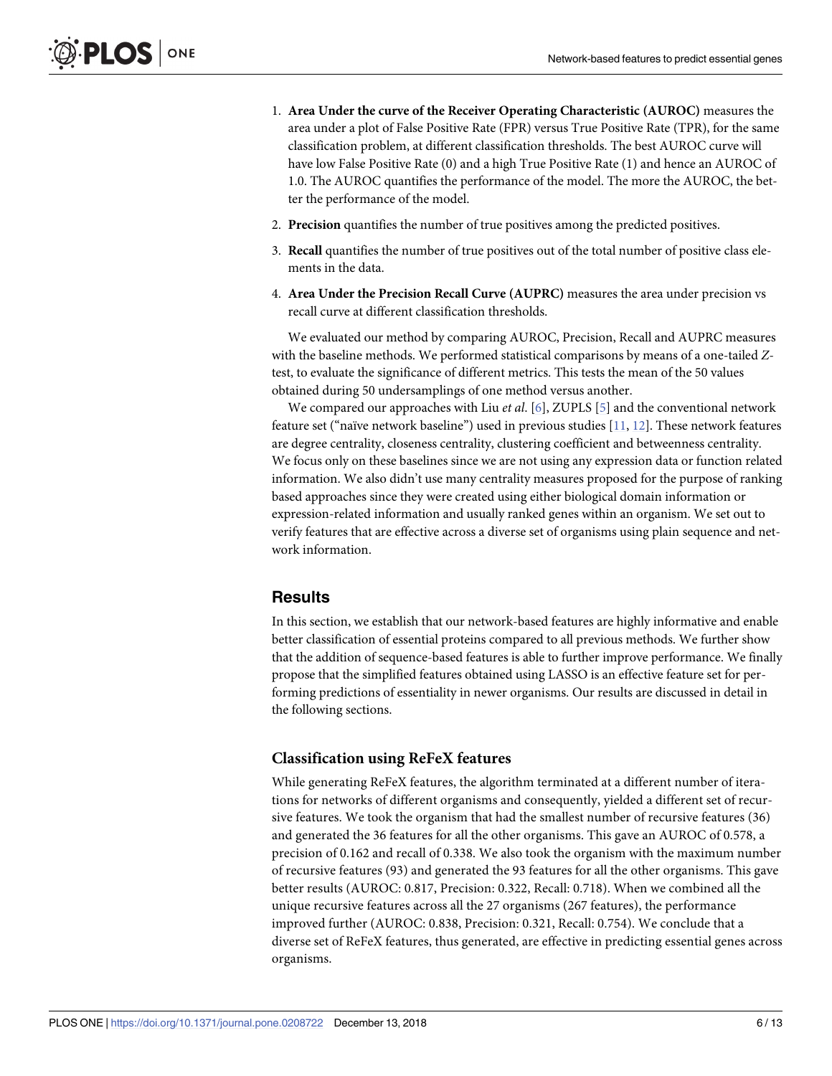- 1. **Area Under the curve of the Receiver Operating Characteristic (AUROC)** measures the area under a plot of False Positive Rate (FPR) versus True Positive Rate (TPR), for the same classification problem, at different classification thresholds. The best AUROC curve will have low False Positive Rate (0) and a high True Positive Rate (1) and hence an AUROC of 1.0. The AUROC quantifies the performance of the model. The more the AUROC, the better the performance of the model.
- 2. **Precision** quantifies the number of true positives among the predicted positives.
- 3. **Recall** quantifies the number of true positives out of the total number of positive class elements in the data.
- 4. **Area Under the Precision Recall Curve (AUPRC)** measures the area under precision vs recall curve at different classification thresholds.

We evaluated our method by comparing AUROC, Precision, Recall and AUPRC measures with the baseline methods. We performed statistical comparisons by means of a one-tailed *Z*test, to evaluate the significance of different metrics. This tests the mean of the 50 values obtained during 50 undersamplings of one method versus another.

We compared our approaches with Liu *et al*. [\[6\]](#page-11-0), ZUPLS [\[5](#page-11-0)] and the conventional network feature set ("naïve network baseline") used in previous studies [[11,](#page-11-0) [12\]](#page-11-0). These network features are degree centrality, closeness centrality, clustering coefficient and betweenness centrality. We focus only on these baselines since we are not using any expression data or function related information. We also didn't use many centrality measures proposed for the purpose of ranking based approaches since they were created using either biological domain information or expression-related information and usually ranked genes within an organism. We set out to verify features that are effective across a diverse set of organisms using plain sequence and network information.

# **Results**

In this section, we establish that our network-based features are highly informative and enable better classification of essential proteins compared to all previous methods. We further show that the addition of sequence-based features is able to further improve performance. We finally propose that the simplified features obtained using LASSO is an effective feature set for performing predictions of essentiality in newer organisms. Our results are discussed in detail in the following sections.

#### **Classification using ReFeX features**

While generating ReFeX features, the algorithm terminated at a different number of iterations for networks of different organisms and consequently, yielded a different set of recursive features. We took the organism that had the smallest number of recursive features (36) and generated the 36 features for all the other organisms. This gave an AUROC of 0.578, a precision of 0.162 and recall of 0.338. We also took the organism with the maximum number of recursive features (93) and generated the 93 features for all the other organisms. This gave better results (AUROC: 0.817, Precision: 0.322, Recall: 0.718). When we combined all the unique recursive features across all the 27 organisms (267 features), the performance improved further (AUROC: 0.838, Precision: 0.321, Recall: 0.754). We conclude that a diverse set of ReFeX features, thus generated, are effective in predicting essential genes across organisms.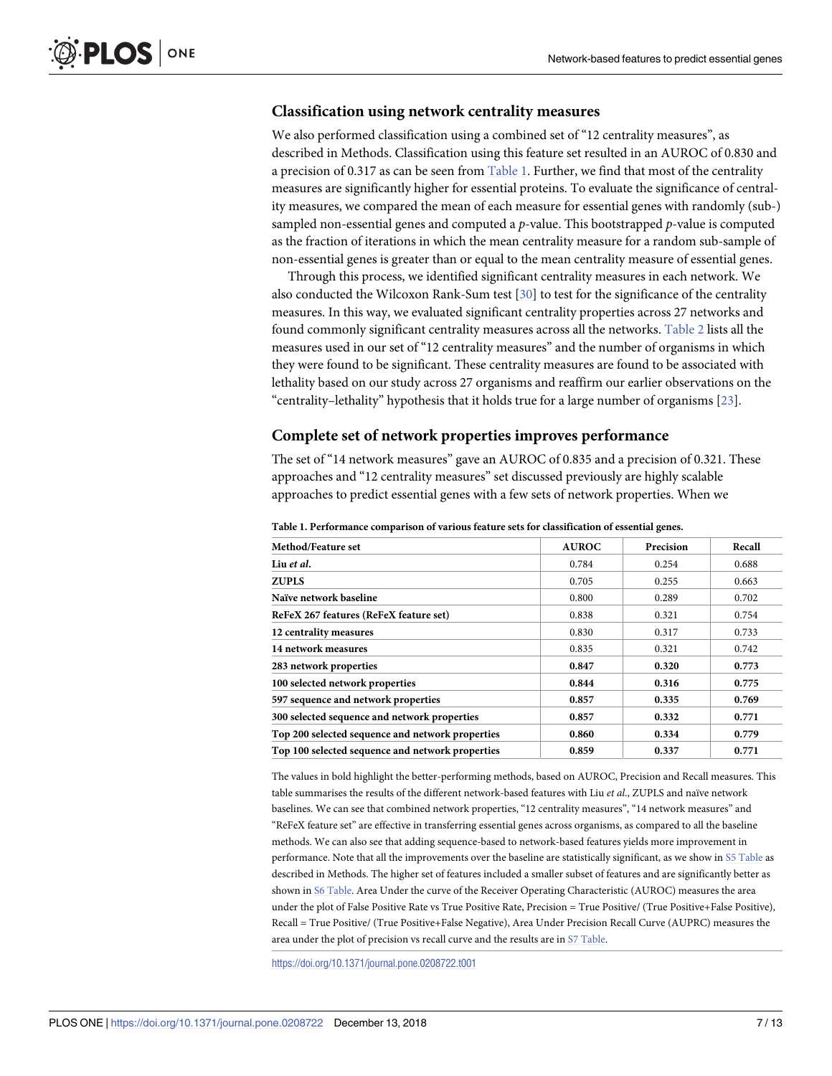#### <span id="page-6-0"></span>**Classification using network centrality measures**

We also performed classification using a combined set of "12 centrality measures", as described in Methods. Classification using this feature set resulted in an AUROC of 0.830 and a precision of 0.317 as can be seen from Table 1. Further, we find that most of the centrality measures are significantly higher for essential proteins. To evaluate the significance of centrality measures, we compared the mean of each measure for essential genes with randomly (sub-) sampled non-essential genes and computed a *p*-value. This bootstrapped *p*-value is computed as the fraction of iterations in which the mean centrality measure for a random sub-sample of non-essential genes is greater than or equal to the mean centrality measure of essential genes.

Through this process, we identified significant centrality measures in each network. We also conducted the Wilcoxon Rank-Sum test [[30\]](#page-12-0) to test for the significance of the centrality measures. In this way, we evaluated significant centrality properties across 27 networks and found commonly significant centrality measures across all the networks. [Table](#page-7-0) 2 lists all the measures used in our set of "12 centrality measures" and the number of organisms in which they were found to be significant. These centrality measures are found to be associated with lethality based on our study across 27 organisms and reaffirm our earlier observations on the "centrality–lethality" hypothesis that it holds true for a large number of organisms [[23](#page-12-0)].

#### **Complete set of network properties improves performance**

The set of "14 network measures" gave an AUROC of 0.835 and a precision of 0.321. These approaches and "12 centrality measures" set discussed previously are highly scalable approaches to predict essential genes with a few sets of network properties. When we

| Method/Feature set                               | <b>AUROC</b> | Precision | Recall |
|--------------------------------------------------|--------------|-----------|--------|
| Liu et al.                                       | 0.784        | 0.254     | 0.688  |
| <b>ZUPLS</b>                                     | 0.705        | 0.255     | 0.663  |
| Naïve network baseline                           | 0.800        | 0.289     | 0.702  |
| ReFeX 267 features (ReFeX feature set)           | 0.838        | 0.321     | 0.754  |
| 12 centrality measures                           | 0.830        | 0.317     | 0.733  |
| 14 network measures                              | 0.835        | 0.321     | 0.742  |
| 283 network properties                           | 0.847        | 0.320     | 0.773  |
| 100 selected network properties                  | 0.844        | 0.316     | 0.775  |
| 597 sequence and network properties              | 0.857        | 0.335     | 0.769  |
| 300 selected sequence and network properties     | 0.857        | 0.332     | 0.771  |
| Top 200 selected sequence and network properties | 0.860        | 0.334     | 0.779  |
| Top 100 selected sequence and network properties | 0.859        | 0.337     | 0.771  |

**Table 1. Performance comparison of various feature sets for classification of essential genes.**

The values in bold highlight the better-performing methods, based on AUROC, Precision and Recall measures. This table summarises the results of the different network-based features with Liu *et al*., ZUPLS and naïve network baselines. We can see that combined network properties, "12 centrality measures", "14 network measures" and "ReFeX feature set" are effective in transferring essential genes across organisms, as compared to all the baseline methods. We can also see that adding sequence-based to network-based features yields more improvement in performance. Note that all the improvements over the baseline are statistically significant, as we show in S5 [Table](#page-10-0) as described in Methods. The higher set of features included a smaller subset of features and are significantly better as shown in S6 [Table.](#page-10-0) Area Under the curve of the Receiver Operating Characteristic (AUROC) measures the area under the plot of False Positive Rate vs True Positive Rate, Precision = True Positive/ (True Positive+False Positive), Recall = True Positive/ (True Positive+False Negative), Area Under Precision Recall Curve (AUPRC) measures the area under the plot of precision vs recall curve and the results are in S7 [Table](#page-10-0).

<https://doi.org/10.1371/journal.pone.0208722.t001>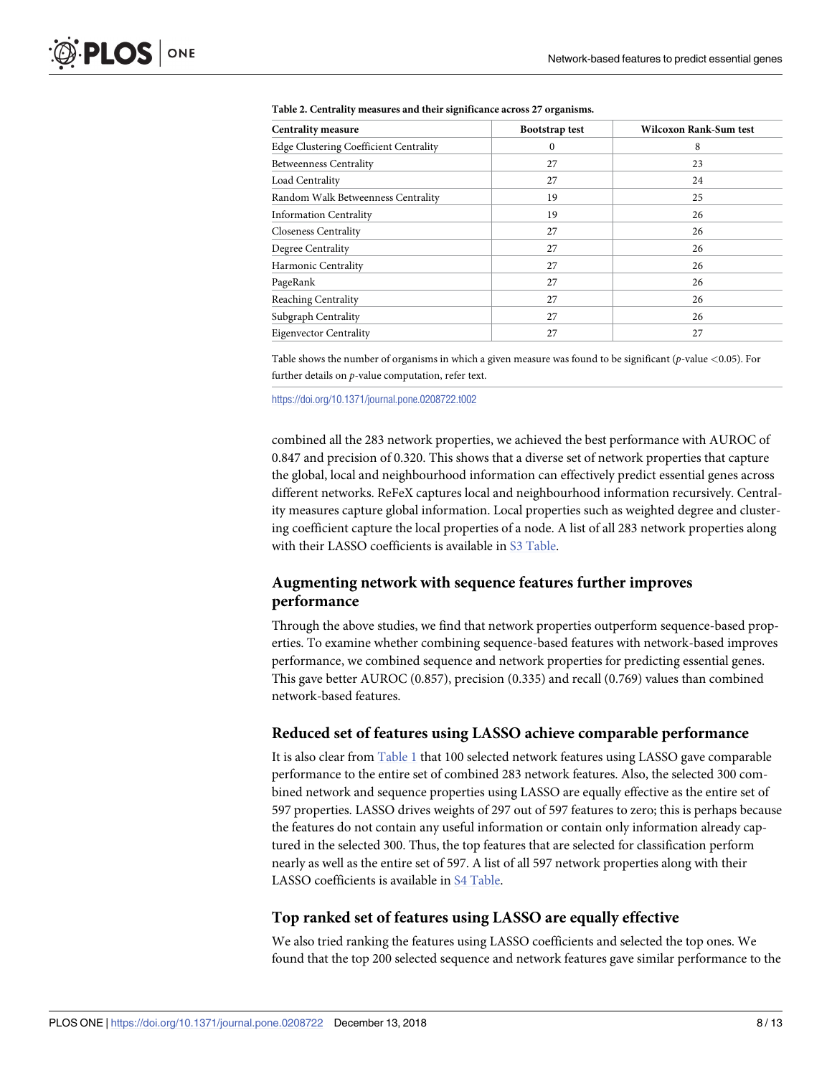| <b>Centrality measure</b>              | <b>Bootstrap test</b> | <b>Wilcoxon Rank-Sum test</b> |
|----------------------------------------|-----------------------|-------------------------------|
| Edge Clustering Coefficient Centrality | $\Omega$              | 8                             |
| <b>Betweenness Centrality</b>          | 27                    | 23                            |
| Load Centrality                        | 27                    | 24                            |
| Random Walk Betweenness Centrality     | 19                    | 25                            |
| <b>Information Centrality</b>          | 19                    | 26                            |
| <b>Closeness Centrality</b>            | 27                    | 26                            |
| Degree Centrality                      | 27                    | 26                            |
| Harmonic Centrality                    | 27                    | 26                            |
| PageRank                               | 27                    | 26                            |
| Reaching Centrality                    | 27                    | 26                            |
| Subgraph Centrality                    | 27                    | 26                            |
| <b>Eigenvector Centrality</b>          | 27                    | 27                            |

#### <span id="page-7-0"></span>**[Table](#page-6-0) 2. Centrality measures and their significance across 27 organisms.**

Table shows the number of organisms in which a given measure was found to be significant (*p*-value *<*0.05). For further details on *p*-value computation, refer text.

<https://doi.org/10.1371/journal.pone.0208722.t002>

combined all the 283 network properties, we achieved the best performance with AUROC of 0.847 and precision of 0.320. This shows that a diverse set of network properties that capture the global, local and neighbourhood information can effectively predict essential genes across different networks. ReFeX captures local and neighbourhood information recursively. Centrality measures capture global information. Local properties such as weighted degree and clustering coefficient capture the local properties of a node. A list of all 283 network properties along with their LASSO coefficients is available in S3 [Table](#page-10-0).

# **Augmenting network with sequence features further improves performance**

Through the above studies, we find that network properties outperform sequence-based properties. To examine whether combining sequence-based features with network-based improves performance, we combined sequence and network properties for predicting essential genes. This gave better AUROC (0.857), precision (0.335) and recall (0.769) values than combined network-based features.

#### **Reduced set of features using LASSO achieve comparable performance**

It is also clear from [Table](#page-6-0) 1 that 100 selected network features using LASSO gave comparable performance to the entire set of combined 283 network features. Also, the selected 300 combined network and sequence properties using LASSO are equally effective as the entire set of 597 properties. LASSO drives weights of 297 out of 597 features to zero; this is perhaps because the features do not contain any useful information or contain only information already captured in the selected 300. Thus, the top features that are selected for classification perform nearly as well as the entire set of 597. A list of all 597 network properties along with their LASSO coefficients is available in S4 [Table](#page-10-0).

#### **Top ranked set of features using LASSO are equally effective**

We also tried ranking the features using LASSO coefficients and selected the top ones. We found that the top 200 selected sequence and network features gave similar performance to the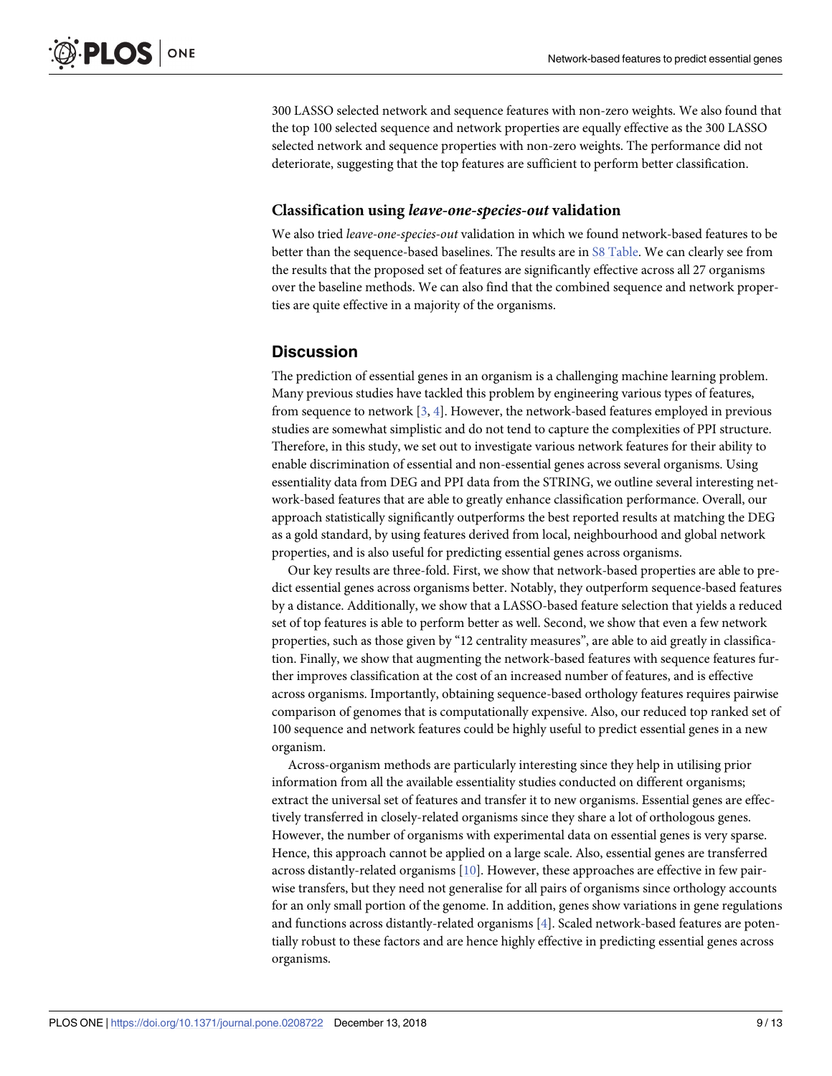300 LASSO selected network and sequence features with non-zero weights. We also found that the top 100 selected sequence and network properties are equally effective as the 300 LASSO selected network and sequence properties with non-zero weights. The performance did not deteriorate, suggesting that the top features are sufficient to perform better classification.

#### **Classification using** *leave-one-species-out* **validation**

We also tried *leave-one-species-out* validation in which we found network-based features to be better than the sequence-based baselines. The results are in S8 [Table.](#page-10-0) We can clearly see from the results that the proposed set of features are significantly effective across all 27 organisms over the baseline methods. We can also find that the combined sequence and network properties are quite effective in a majority of the organisms.

# **Discussion**

The prediction of essential genes in an organism is a challenging machine learning problem. Many previous studies have tackled this problem by engineering various types of features, from sequence to network [[3,](#page-11-0) [4\]](#page-11-0). However, the network-based features employed in previous studies are somewhat simplistic and do not tend to capture the complexities of PPI structure. Therefore, in this study, we set out to investigate various network features for their ability to enable discrimination of essential and non-essential genes across several organisms. Using essentiality data from DEG and PPI data from the STRING, we outline several interesting network-based features that are able to greatly enhance classification performance. Overall, our approach statistically significantly outperforms the best reported results at matching the DEG as a gold standard, by using features derived from local, neighbourhood and global network properties, and is also useful for predicting essential genes across organisms.

Our key results are three-fold. First, we show that network-based properties are able to predict essential genes across organisms better. Notably, they outperform sequence-based features by a distance. Additionally, we show that a LASSO-based feature selection that yields a reduced set of top features is able to perform better as well. Second, we show that even a few network properties, such as those given by "12 centrality measures", are able to aid greatly in classification. Finally, we show that augmenting the network-based features with sequence features further improves classification at the cost of an increased number of features, and is effective across organisms. Importantly, obtaining sequence-based orthology features requires pairwise comparison of genomes that is computationally expensive. Also, our reduced top ranked set of 100 sequence and network features could be highly useful to predict essential genes in a new organism.

Across-organism methods are particularly interesting since they help in utilising prior information from all the available essentiality studies conducted on different organisms; extract the universal set of features and transfer it to new organisms. Essential genes are effectively transferred in closely-related organisms since they share a lot of orthologous genes. However, the number of organisms with experimental data on essential genes is very sparse. Hence, this approach cannot be applied on a large scale. Also, essential genes are transferred across distantly-related organisms [\[10\]](#page-11-0). However, these approaches are effective in few pairwise transfers, but they need not generalise for all pairs of organisms since orthology accounts for an only small portion of the genome. In addition, genes show variations in gene regulations and functions across distantly-related organisms [\[4\]](#page-11-0). Scaled network-based features are potentially robust to these factors and are hence highly effective in predicting essential genes across organisms.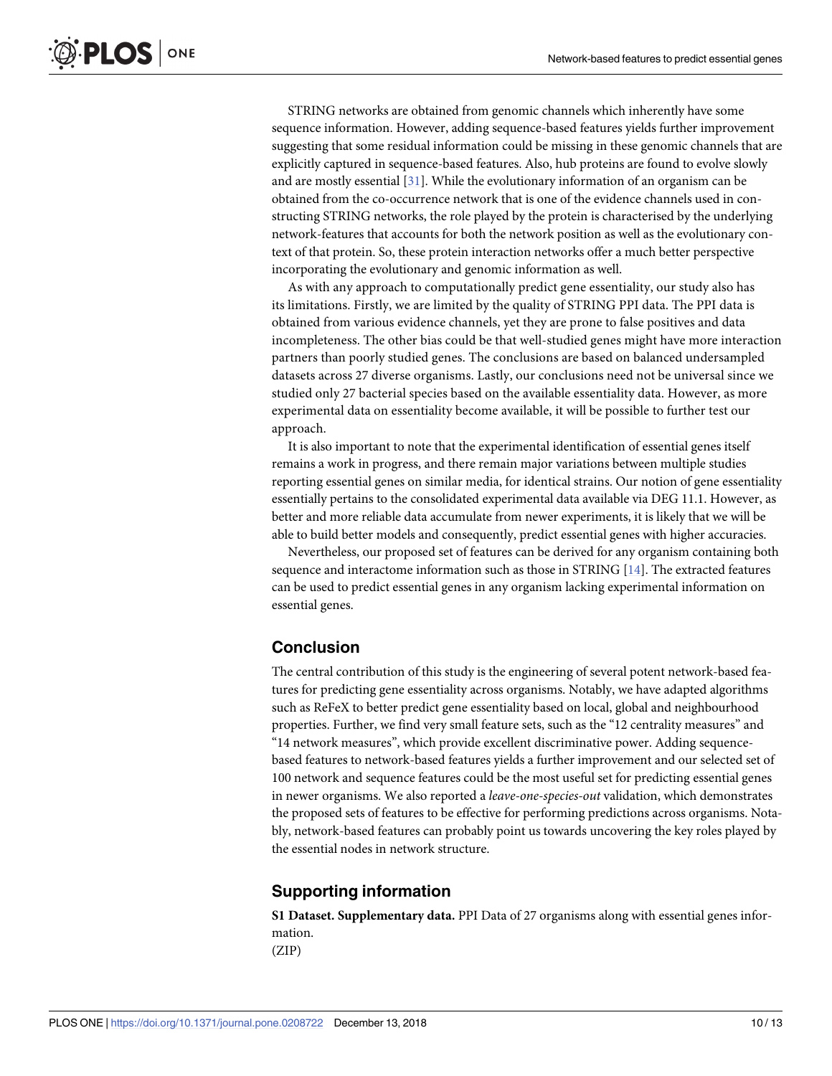<span id="page-9-0"></span>STRING networks are obtained from genomic channels which inherently have some sequence information. However, adding sequence-based features yields further improvement suggesting that some residual information could be missing in these genomic channels that are explicitly captured in sequence-based features. Also, hub proteins are found to evolve slowly and are mostly essential [\[31\]](#page-12-0). While the evolutionary information of an organism can be obtained from the co-occurrence network that is one of the evidence channels used in constructing STRING networks, the role played by the protein is characterised by the underlying network-features that accounts for both the network position as well as the evolutionary context of that protein. So, these protein interaction networks offer a much better perspective incorporating the evolutionary and genomic information as well.

As with any approach to computationally predict gene essentiality, our study also has its limitations. Firstly, we are limited by the quality of STRING PPI data. The PPI data is obtained from various evidence channels, yet they are prone to false positives and data incompleteness. The other bias could be that well-studied genes might have more interaction partners than poorly studied genes. The conclusions are based on balanced undersampled datasets across 27 diverse organisms. Lastly, our conclusions need not be universal since we studied only 27 bacterial species based on the available essentiality data. However, as more experimental data on essentiality become available, it will be possible to further test our approach.

It is also important to note that the experimental identification of essential genes itself remains a work in progress, and there remain major variations between multiple studies reporting essential genes on similar media, for identical strains. Our notion of gene essentiality essentially pertains to the consolidated experimental data available via DEG 11.1. However, as better and more reliable data accumulate from newer experiments, it is likely that we will be able to build better models and consequently, predict essential genes with higher accuracies.

Nevertheless, our proposed set of features can be derived for any organism containing both sequence and interactome information such as those in STRING [\[14\]](#page-11-0). The extracted features can be used to predict essential genes in any organism lacking experimental information on essential genes.

# **Conclusion**

The central contribution of this study is the engineering of several potent network-based features for predicting gene essentiality across organisms. Notably, we have adapted algorithms such as ReFeX to better predict gene essentiality based on local, global and neighbourhood properties. Further, we find very small feature sets, such as the "12 centrality measures" and "14 network measures", which provide excellent discriminative power. Adding sequencebased features to network-based features yields a further improvement and our selected set of 100 network and sequence features could be the most useful set for predicting essential genes in newer organisms. We also reported a *leave-one-species-out* validation, which demonstrates the proposed sets of features to be effective for performing predictions across organisms. Notably, network-based features can probably point us towards uncovering the key roles played by the essential nodes in network structure.

# **Supporting information**

**S1 [Dataset.](http://www.plosone.org/article/fetchSingleRepresentation.action?uri=info:doi/10.1371/journal.pone.0208722.s001) Supplementary data.** PPI Data of 27 organisms along with essential genes information. (ZIP)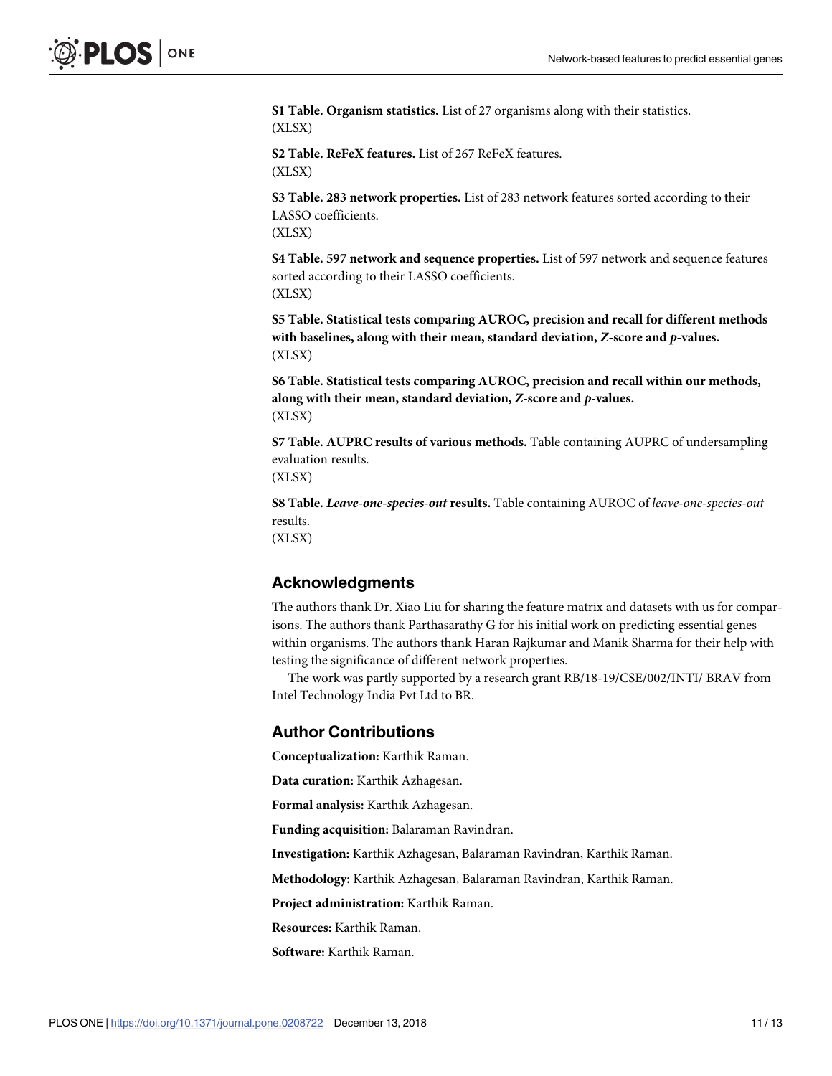<span id="page-10-0"></span>**S1 [Table.](http://www.plosone.org/article/fetchSingleRepresentation.action?uri=info:doi/10.1371/journal.pone.0208722.s002) Organism statistics.** List of 27 organisms along with their statistics. (XLSX)

**S2 [Table.](http://www.plosone.org/article/fetchSingleRepresentation.action?uri=info:doi/10.1371/journal.pone.0208722.s003) ReFeX features.** List of 267 ReFeX features. (XLSX)

**S3 [Table.](http://www.plosone.org/article/fetchSingleRepresentation.action?uri=info:doi/10.1371/journal.pone.0208722.s004) 283 network properties.** List of 283 network features sorted according to their LASSO coefficients.

(XLSX)

**S4 [Table.](http://www.plosone.org/article/fetchSingleRepresentation.action?uri=info:doi/10.1371/journal.pone.0208722.s005) 597 network and sequence properties.** List of 597 network and sequence features sorted according to their LASSO coefficients. (XLSX)

**S5 [Table.](http://www.plosone.org/article/fetchSingleRepresentation.action?uri=info:doi/10.1371/journal.pone.0208722.s006) Statistical tests comparing AUROC, precision and recall for different methods with baselines, along with their mean, standard deviation,** *Z***-score and** *p***-values.** (XLSX)

**S6 [Table.](http://www.plosone.org/article/fetchSingleRepresentation.action?uri=info:doi/10.1371/journal.pone.0208722.s007) Statistical tests comparing AUROC, precision and recall within our methods, along with their mean, standard deviation,** *Z***-score and** *p***-values.** (XLSX)

**S7 [Table.](http://www.plosone.org/article/fetchSingleRepresentation.action?uri=info:doi/10.1371/journal.pone.0208722.s008) AUPRC results of various methods.** Table containing AUPRC of undersampling evaluation results.

(XLSX)

**S8 [Table.](http://www.plosone.org/article/fetchSingleRepresentation.action?uri=info:doi/10.1371/journal.pone.0208722.s009)** *Leave-one-species-out* **results.** Table containing AUROC of *leave-one-species-out* results.

(XLSX)

# **Acknowledgments**

The authors thank Dr. Xiao Liu for sharing the feature matrix and datasets with us for comparisons. The authors thank Parthasarathy G for his initial work on predicting essential genes within organisms. The authors thank Haran Rajkumar and Manik Sharma for their help with testing the significance of different network properties.

The work was partly supported by a research grant RB/18-19/CSE/002/INTI/ BRAV from Intel Technology India Pvt Ltd to BR.

### **Author Contributions**

**Conceptualization:** Karthik Raman.

**Data curation:** Karthik Azhagesan.

**Formal analysis:** Karthik Azhagesan.

**Funding acquisition:** Balaraman Ravindran.

**Investigation:** Karthik Azhagesan, Balaraman Ravindran, Karthik Raman.

**Methodology:** Karthik Azhagesan, Balaraman Ravindran, Karthik Raman.

**Project administration:** Karthik Raman.

**Resources:** Karthik Raman.

**Software:** Karthik Raman.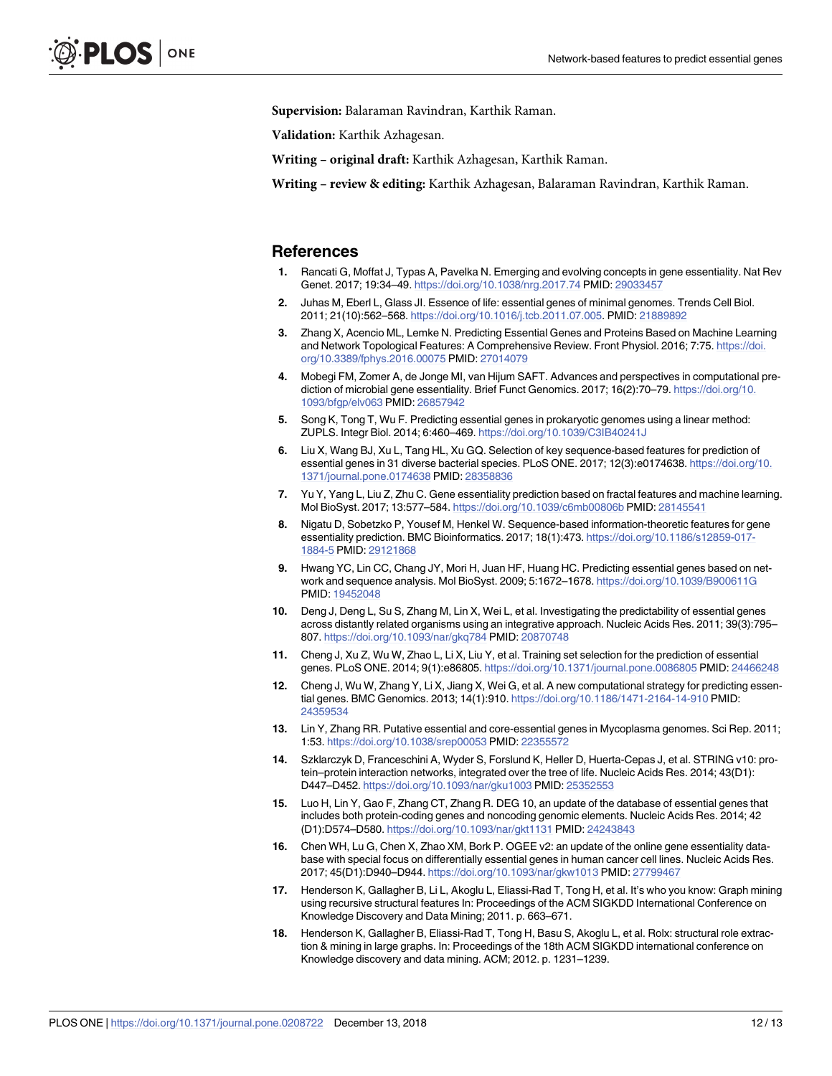<span id="page-11-0"></span>**Supervision:** Balaraman Ravindran, Karthik Raman.

**Validation:** Karthik Azhagesan.

**Writing – original draft:** Karthik Azhagesan, Karthik Raman.

**Writing – review & editing:** Karthik Azhagesan, Balaraman Ravindran, Karthik Raman.

#### **References**

- **[1](#page-1-0).** Rancati G, Moffat J, Typas A, Pavelka N. Emerging and evolving concepts in gene essentiality. Nat Rev Genet. 2017; 19:34–49. <https://doi.org/10.1038/nrg.2017.74> PMID: [29033457](http://www.ncbi.nlm.nih.gov/pubmed/29033457)
- **[2](#page-1-0).** Juhas M, Eberl L, Glass JI. Essence of life: essential genes of minimal genomes. Trends Cell Biol. 2011; 21(10):562–568. <https://doi.org/10.1016/j.tcb.2011.07.005>. PMID: [21889892](http://www.ncbi.nlm.nih.gov/pubmed/21889892)
- **[3](#page-1-0).** Zhang X, Acencio ML, Lemke N. Predicting Essential Genes and Proteins Based on Machine Learning and Network Topological Features: A Comprehensive Review. Front Physiol. 2016; 7:75. [https://doi.](https://doi.org/10.3389/fphys.2016.00075) [org/10.3389/fphys.2016.00075](https://doi.org/10.3389/fphys.2016.00075) PMID: [27014079](http://www.ncbi.nlm.nih.gov/pubmed/27014079)
- **[4](#page-1-0).** Mobegi FM, Zomer A, de Jonge MI, van Hijum SAFT. Advances and perspectives in computational prediction of microbial gene essentiality. Brief Funct Genomics. 2017; 16(2):70-79. [https://doi.org/10.](https://doi.org/10.1093/bfgp/elv063) [1093/bfgp/elv063](https://doi.org/10.1093/bfgp/elv063) PMID: [26857942](http://www.ncbi.nlm.nih.gov/pubmed/26857942)
- **[5](#page-1-0).** Song K, Tong T, Wu F. Predicting essential genes in prokaryotic genomes using a linear method: ZUPLS. Integr Biol. 2014; 6:460–469. <https://doi.org/10.1039/C3IB40241J>
- **[6](#page-1-0).** Liu X, Wang BJ, Xu L, Tang HL, Xu GQ. Selection of key sequence-based features for prediction of essential genes in 31 diverse bacterial species. PLoS ONE. 2017; 12(3):e0174638. [https://doi.org/10.](https://doi.org/10.1371/journal.pone.0174638) [1371/journal.pone.0174638](https://doi.org/10.1371/journal.pone.0174638) PMID: [28358836](http://www.ncbi.nlm.nih.gov/pubmed/28358836)
- **[7](#page-1-0).** Yu Y, Yang L, Liu Z, Zhu C. Gene essentiality prediction based on fractal features and machine learning. Mol BioSyst. 2017; 13:577–584. <https://doi.org/10.1039/c6mb00806b> PMID: [28145541](http://www.ncbi.nlm.nih.gov/pubmed/28145541)
- **[8](#page-1-0).** Nigatu D, Sobetzko P, Yousef M, Henkel W. Sequence-based information-theoretic features for gene essentiality prediction. BMC Bioinformatics. 2017; 18(1):473. [https://doi.org/10.1186/s12859-017-](https://doi.org/10.1186/s12859-017-1884-5) [1884-5](https://doi.org/10.1186/s12859-017-1884-5) PMID: [29121868](http://www.ncbi.nlm.nih.gov/pubmed/29121868)
- **[9](#page-1-0).** Hwang YC, Lin CC, Chang JY, Mori H, Juan HF, Huang HC. Predicting essential genes based on network and sequence analysis. Mol BioSyst. 2009; 5:1672–1678. <https://doi.org/10.1039/B900611G> PMID: [19452048](http://www.ncbi.nlm.nih.gov/pubmed/19452048)
- **[10](#page-1-0).** Deng J, Deng L, Su S, Zhang M, Lin X, Wei L, et al. Investigating the predictability of essential genes across distantly related organisms using an integrative approach. Nucleic Acids Res. 2011; 39(3):795– 807. <https://doi.org/10.1093/nar/gkq784> PMID: [20870748](http://www.ncbi.nlm.nih.gov/pubmed/20870748)
- **[11](#page-1-0).** Cheng J, Xu Z, Wu W, Zhao L, Li X, Liu Y, et al. Training set selection for the prediction of essential genes. PLoS ONE. 2014; 9(1):e86805. <https://doi.org/10.1371/journal.pone.0086805> PMID: [24466248](http://www.ncbi.nlm.nih.gov/pubmed/24466248)
- **[12](#page-1-0).** Cheng J, Wu W, Zhang Y, Li X, Jiang X, Wei G, et al. A new computational strategy for predicting essential genes. BMC Genomics. 2013; 14(1):910. <https://doi.org/10.1186/1471-2164-14-910> PMID: [24359534](http://www.ncbi.nlm.nih.gov/pubmed/24359534)
- **[13](#page-1-0).** Lin Y, Zhang RR. Putative essential and core-essential genes in Mycoplasma genomes. Sci Rep. 2011; 1:53. <https://doi.org/10.1038/srep00053> PMID: [22355572](http://www.ncbi.nlm.nih.gov/pubmed/22355572)
- **[14](#page-1-0).** Szklarczyk D, Franceschini A, Wyder S, Forslund K, Heller D, Huerta-Cepas J, et al. STRING v10: protein–protein interaction networks, integrated over the tree of life. Nucleic Acids Res. 2014; 43(D1): D447–D452. <https://doi.org/10.1093/nar/gku1003> PMID: [25352553](http://www.ncbi.nlm.nih.gov/pubmed/25352553)
- **[15](#page-1-0).** Luo H, Lin Y, Gao F, Zhang CT, Zhang R. DEG 10, an update of the database of essential genes that includes both protein-coding genes and noncoding genomic elements. Nucleic Acids Res. 2014; 42 (D1):D574–D580. <https://doi.org/10.1093/nar/gkt1131> PMID: [24243843](http://www.ncbi.nlm.nih.gov/pubmed/24243843)
- **[16](#page-1-0).** Chen WH, Lu G, Chen X, Zhao XM, Bork P. OGEE v2: an update of the online gene essentiality database with special focus on differentially essential genes in human cancer cell lines. Nucleic Acids Res. 2017; 45(D1):D940–D944. <https://doi.org/10.1093/nar/gkw1013> PMID: [27799467](http://www.ncbi.nlm.nih.gov/pubmed/27799467)
- **[17](#page-2-0).** Henderson K, Gallagher B, Li L, Akoglu L, Eliassi-Rad T, Tong H, et al. It's who you know: Graph mining using recursive structural features In: Proceedings of the ACM SIGKDD International Conference on Knowledge Discovery and Data Mining; 2011. p. 663–671.
- **18.** Henderson K, Gallagher B, Eliassi-Rad T, Tong H, Basu S, Akoglu L, et al. Rolx: structural role extraction & mining in large graphs. In: Proceedings of the 18th ACM SIGKDD international conference on Knowledge discovery and data mining. ACM; 2012. p. 1231–1239.